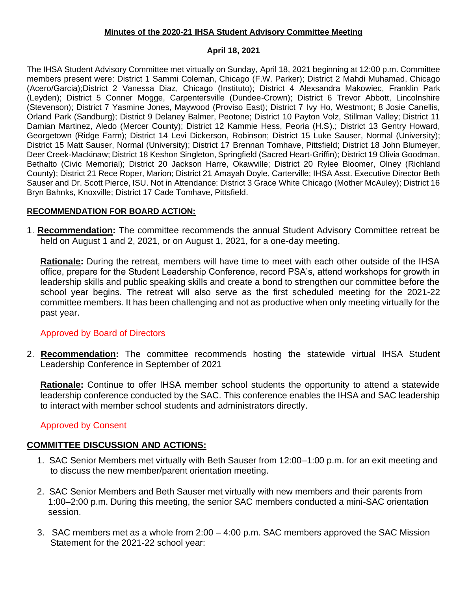#### **Minutes of the 2020-21 IHSA Student Advisory Committee Meeting**

#### **April 18, 2021**

The IHSA Student Advisory Committee met virtually on Sunday, April 18, 2021 beginning at 12:00 p.m. Committee members present were: District 1 Sammi Coleman, Chicago (F.W. Parker); District 2 Mahdi Muhamad, Chicago (Acero/Garcia);District 2 Vanessa Diaz, Chicago (Instituto); District 4 Alexsandra Makowiec, Franklin Park (Leyden); District 5 Conner Mogge, Carpentersville (Dundee-Crown); District 6 Trevor Abbott, Lincolnshire (Stevenson); District 7 Yasmine Jones, Maywood (Proviso East); District 7 Ivy Ho, Westmont; 8 Josie Canellis, Orland Park (Sandburg); District 9 Delaney Balmer, Peotone; District 10 Payton Volz, Stillman Valley; District 11 Damian Martinez, Aledo (Mercer County); District 12 Kammie Hess, Peoria (H.S).; District 13 Gentry Howard, Georgetown (Ridge Farm); District 14 Levi Dickerson, Robinson; District 15 Luke Sauser, Normal (University); District 15 Matt Sauser, Normal (University); District 17 Brennan Tomhave, Pittsfield; District 18 John Blumeyer, Deer Creek-Mackinaw; District 18 Keshon Singleton, Springfield (Sacred Heart-Griffin); District 19 Olivia Goodman, Bethalto (Civic Memorial); District 20 Jackson Harre, Okawville; District 20 Rylee Bloomer, Olney (Richland County); District 21 Rece Roper, Marion; District 21 Amayah Doyle, Carterville; IHSA Asst. Executive Director Beth Sauser and Dr. Scott Pierce, ISU. Not in Attendance: District 3 Grace White Chicago (Mother McAuley); District 16 Bryn Bahnks, Knoxville; District 17 Cade Tomhave, Pittsfield.

### **RECOMMENDATION FOR BOARD ACTION:**

1. **Recommendation:** The committee recommends the annual Student Advisory Committee retreat be held on August 1 and 2, 2021, or on August 1, 2021, for a one-day meeting.

**Rationale:** During the retreat, members will have time to meet with each other outside of the IHSA office, prepare for the Student Leadership Conference, record PSA's, attend workshops for growth in leadership skills and public speaking skills and create a bond to strengthen our committee before the school year begins. The retreat will also serve as the first scheduled meeting for the 2021-22 committee members. It has been challenging and not as productive when only meeting virtually for the past year.

### Approved by Board of Directors

2. **Recommendation:** The committee recommends hosting the statewide virtual IHSA Student Leadership Conference in September of 2021

**Rationale:** Continue to offer IHSA member school students the opportunity to attend a statewide leadership conference conducted by the SAC. This conference enables the IHSA and SAC leadership to interact with member school students and administrators directly.

### Approved by Consent

## **COMMITTEE DISCUSSION AND ACTIONS:**

- 1. SAC Senior Members met virtually with Beth Sauser from 12:00–1:00 p.m. for an exit meeting and to discuss the new member/parent orientation meeting.
- 2. SAC Senior Members and Beth Sauser met virtually with new members and their parents from 1:00–2:00 p.m. During this meeting, the senior SAC members conducted a mini-SAC orientation session.
- 3. SAC members met as a whole from 2:00 4:00 p.m. SAC members approved the SAC Mission Statement for the 2021-22 school year: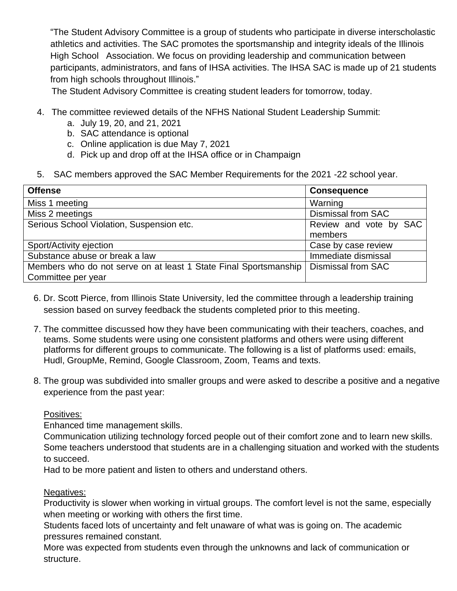"The Student Advisory Committee is a group of students who participate in diverse interscholastic athletics and activities. The SAC promotes the sportsmanship and integrity ideals of the Illinois High School Association. We focus on providing leadership and communication between participants, administrators, and fans of IHSA activities. The IHSA SAC is made up of 21 students from high schools throughout Illinois."

The Student Advisory Committee is creating student leaders for tomorrow, today.

- 4. The committee reviewed details of the NFHS National Student Leadership Summit:
	- a. July 19, 20, and 21, 2021
	- b. SAC attendance is optional
	- c. Online application is due May 7, 2021
	- d. Pick up and drop off at the IHSA office or in Champaign
- 5. SAC members approved the SAC Member Requirements for the 2021 -22 school year.

| <b>Offense</b>                                                   | <b>Consequence</b>        |
|------------------------------------------------------------------|---------------------------|
| Miss 1 meeting                                                   | Warning                   |
| Miss 2 meetings                                                  | <b>Dismissal from SAC</b> |
| Serious School Violation, Suspension etc.                        | Review and vote by SAC    |
|                                                                  | members                   |
| Sport/Activity ejection                                          | Case by case review       |
| Substance abuse or break a law                                   | Immediate dismissal       |
| Members who do not serve on at least 1 State Final Sportsmanship | Dismissal from SAC        |
| Committee per year                                               |                           |

- 6. Dr. Scott Pierce, from Illinois State University, led the committee through a leadership training session based on survey feedback the students completed prior to this meeting.
- 7. The committee discussed how they have been communicating with their teachers, coaches, and teams. Some students were using one consistent platforms and others were using different platforms for different groups to communicate. The following is a list of platforms used: emails, Hudl, GroupMe, Remind, Google Classroom, Zoom, Teams and texts.
- 8. The group was subdivided into smaller groups and were asked to describe a positive and a negative experience from the past year:

### Positives:

Enhanced time management skills.

Communication utilizing technology forced people out of their comfort zone and to learn new skills. Some teachers understood that students are in a challenging situation and worked with the students to succeed.

Had to be more patient and listen to others and understand others.

### Negatives:

Productivity is slower when working in virtual groups. The comfort level is not the same, especially when meeting or working with others the first time.

Students faced lots of uncertainty and felt unaware of what was is going on. The academic pressures remained constant.

More was expected from students even through the unknowns and lack of communication or structure.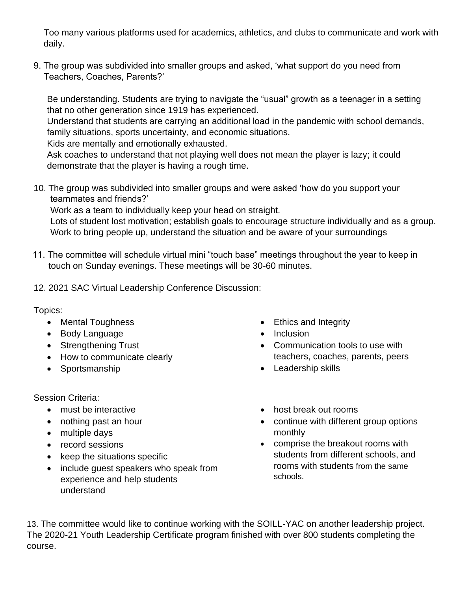Too many various platforms used for academics, athletics, and clubs to communicate and work with daily.

9. The group was subdivided into smaller groups and asked, 'what support do you need from Teachers, Coaches, Parents?'

Be understanding. Students are trying to navigate the "usual" growth as a teenager in a setting that no other generation since 1919 has experienced.

Understand that students are carrying an additional load in the pandemic with school demands, family situations, sports uncertainty, and economic situations.

Kids are mentally and emotionally exhausted.

Ask coaches to understand that not playing well does not mean the player is lazy; it could demonstrate that the player is having a rough time.

10. The group was subdivided into smaller groups and were asked 'how do you support your teammates and friends?'

Work as a team to individually keep your head on straight.

Lots of student lost motivation; establish goals to encourage structure individually and as a group. Work to bring people up, understand the situation and be aware of your surroundings

- 11. The committee will schedule virtual mini "touch base" meetings throughout the year to keep in touch on Sunday evenings. These meetings will be 30-60 minutes.
- 12. 2021 SAC Virtual Leadership Conference Discussion:

Topics:

- Mental Toughness
- Body Language
- Strengthening Trust
- How to communicate clearly
- Sportsmanship

Session Criteria:

- must be interactive
- nothing past an hour
- multiple days
- record sessions
- keep the situations specific
- include guest speakers who speak from experience and help students understand
- Ethics and Integrity
- Inclusion
- Communication tools to use with teachers, coaches, parents, peers
- Leadership skills
- host break out rooms
- continue with different group options monthly
- comprise the breakout rooms with students from different schools, and rooms with students from the same schools.

13. The committee would like to continue working with the SOILL-YAC on another leadership project. The 2020-21 Youth Leadership Certificate program finished with over 800 students completing the course.